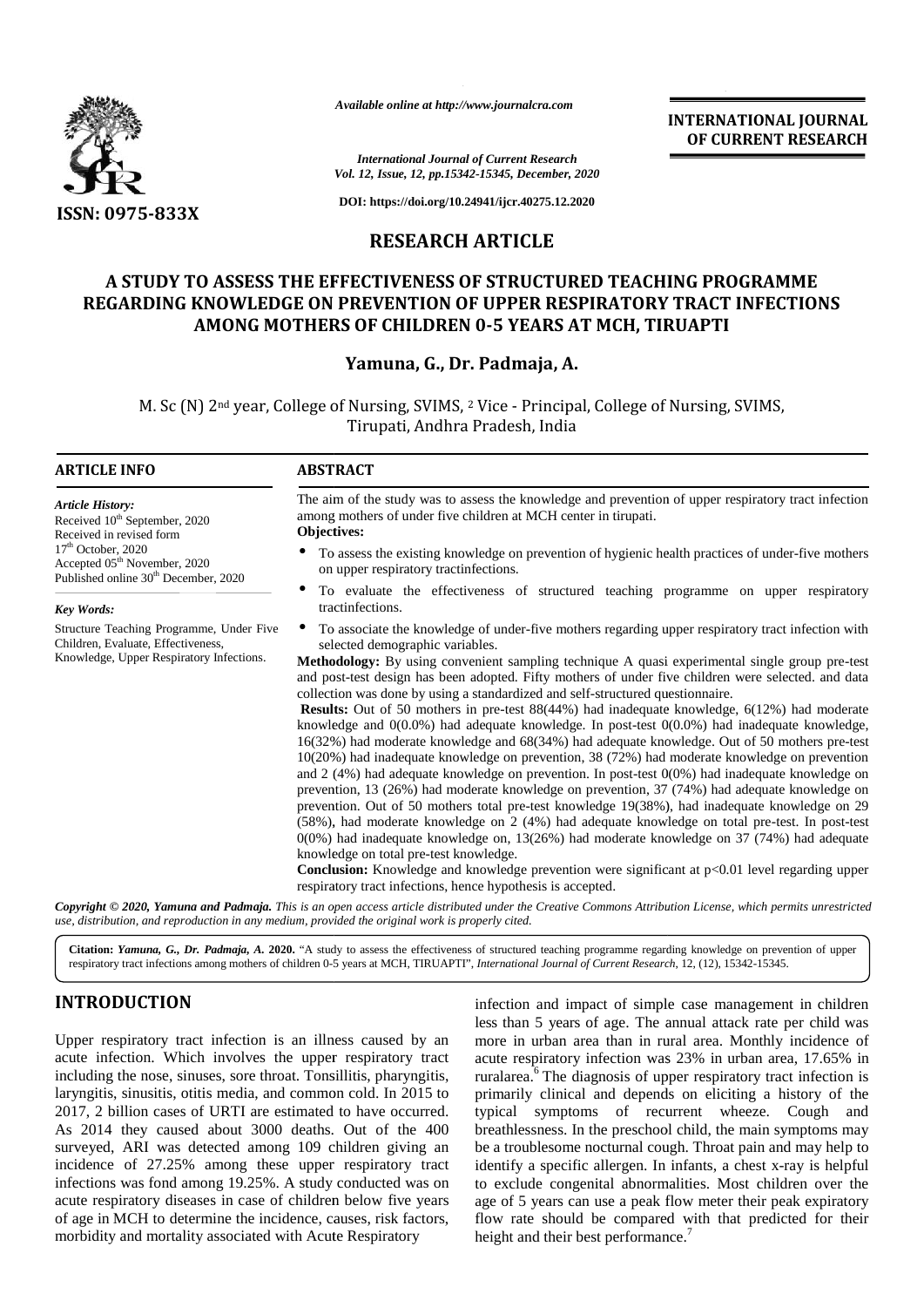

*Available online at http://www.journalcra.com*

# **RESEARCH ARTICLE**

# **A STUDY TO ASSESS THE EFFECTIVENESS OF STRUCTURED TEACHING PROGRAMME** REGARDING KNOWLEDGE ON PREVENTION OF UPPER RESPIRATORY TRACT INFECTIONS **AMONG MOTHERS OF CHILDREN 0-5 YEARS AT MCH, TIRUAPTI**

## **Yamuna, G., Dr. Padmaja, A. Yamuna, Padmaja,**

|                                                                                                                                                                                                                                                                                                                                                                                                                                                                                                                                                                                                                                                                                                                                                   | Available online at http://www.journalcra.com                                                                                                                                                                                                                                                                                                                             |                                                  | <b>INTERNATIONAL JOURNAL</b>                                                                                                                                                                                                                                                                                                                                                                                                                                                                                                                                                                                                                                                                                                                                                                                                                                                                                                                                                                                                                                                                                                                                                                                                                                                                                                                                                                                                                                                                                                                                                                                                             |  |  |  |  |  |  |  |
|---------------------------------------------------------------------------------------------------------------------------------------------------------------------------------------------------------------------------------------------------------------------------------------------------------------------------------------------------------------------------------------------------------------------------------------------------------------------------------------------------------------------------------------------------------------------------------------------------------------------------------------------------------------------------------------------------------------------------------------------------|---------------------------------------------------------------------------------------------------------------------------------------------------------------------------------------------------------------------------------------------------------------------------------------------------------------------------------------------------------------------------|--------------------------------------------------|------------------------------------------------------------------------------------------------------------------------------------------------------------------------------------------------------------------------------------------------------------------------------------------------------------------------------------------------------------------------------------------------------------------------------------------------------------------------------------------------------------------------------------------------------------------------------------------------------------------------------------------------------------------------------------------------------------------------------------------------------------------------------------------------------------------------------------------------------------------------------------------------------------------------------------------------------------------------------------------------------------------------------------------------------------------------------------------------------------------------------------------------------------------------------------------------------------------------------------------------------------------------------------------------------------------------------------------------------------------------------------------------------------------------------------------------------------------------------------------------------------------------------------------------------------------------------------------------------------------------------------------|--|--|--|--|--|--|--|
|                                                                                                                                                                                                                                                                                                                                                                                                                                                                                                                                                                                                                                                                                                                                                   |                                                                                                                                                                                                                                                                                                                                                                           | <b>International Journal of Current Research</b> | OF CURRENT RESEARCH                                                                                                                                                                                                                                                                                                                                                                                                                                                                                                                                                                                                                                                                                                                                                                                                                                                                                                                                                                                                                                                                                                                                                                                                                                                                                                                                                                                                                                                                                                                                                                                                                      |  |  |  |  |  |  |  |
|                                                                                                                                                                                                                                                                                                                                                                                                                                                                                                                                                                                                                                                                                                                                                   | Vol. 12, Issue, 12, pp.15342-15345, December, 2020<br>DOI: https://doi.org/10.24941/ijcr.40275.12.2020                                                                                                                                                                                                                                                                    |                                                  |                                                                                                                                                                                                                                                                                                                                                                                                                                                                                                                                                                                                                                                                                                                                                                                                                                                                                                                                                                                                                                                                                                                                                                                                                                                                                                                                                                                                                                                                                                                                                                                                                                          |  |  |  |  |  |  |  |
| <b>ISSN: 0975-833X</b>                                                                                                                                                                                                                                                                                                                                                                                                                                                                                                                                                                                                                                                                                                                            |                                                                                                                                                                                                                                                                                                                                                                           | <b>RESEARCH ARTICLE</b>                          |                                                                                                                                                                                                                                                                                                                                                                                                                                                                                                                                                                                                                                                                                                                                                                                                                                                                                                                                                                                                                                                                                                                                                                                                                                                                                                                                                                                                                                                                                                                                                                                                                                          |  |  |  |  |  |  |  |
|                                                                                                                                                                                                                                                                                                                                                                                                                                                                                                                                                                                                                                                                                                                                                   | A STUDY TO ASSESS THE EFFECTIVENESS OF STRUCTURED TEACHING PROGRAMME<br>AMONG MOTHERS OF CHILDREN 0-5 YEARS AT MCH, TIRUAPTI<br>Yamuna, G., Dr. Padmaja, A.                                                                                                                                                                                                               |                                                  | REGARDING KNOWLEDGE ON PREVENTION OF UPPER RESPIRATORY TRACT INFECTIONS                                                                                                                                                                                                                                                                                                                                                                                                                                                                                                                                                                                                                                                                                                                                                                                                                                                                                                                                                                                                                                                                                                                                                                                                                                                                                                                                                                                                                                                                                                                                                                  |  |  |  |  |  |  |  |
|                                                                                                                                                                                                                                                                                                                                                                                                                                                                                                                                                                                                                                                                                                                                                   | M. Sc (N) 2 <sup>nd</sup> year, College of Nursing, SVIMS, <sup>2</sup> Vice - Principal, College of Nursing, SVIMS,<br>Tirupati, Andhra Pradesh, India                                                                                                                                                                                                                   |                                                  |                                                                                                                                                                                                                                                                                                                                                                                                                                                                                                                                                                                                                                                                                                                                                                                                                                                                                                                                                                                                                                                                                                                                                                                                                                                                                                                                                                                                                                                                                                                                                                                                                                          |  |  |  |  |  |  |  |
| <b>ARTICLE INFO</b>                                                                                                                                                                                                                                                                                                                                                                                                                                                                                                                                                                                                                                                                                                                               | <b>ABSTRACT</b>                                                                                                                                                                                                                                                                                                                                                           |                                                  |                                                                                                                                                                                                                                                                                                                                                                                                                                                                                                                                                                                                                                                                                                                                                                                                                                                                                                                                                                                                                                                                                                                                                                                                                                                                                                                                                                                                                                                                                                                                                                                                                                          |  |  |  |  |  |  |  |
| <b>Article History:</b><br>Received 10 <sup>th</sup> September, 2020<br>Received in revised form<br>17 <sup>th</sup> October, 2020<br>Accepted 05 <sup>th</sup> November, 2020<br>Published online 30 <sup>th</sup> December, 2020<br>Key Words:<br>Structure Teaching Programme, Under Five<br>Children, Evaluate, Effectiveness,<br>Knowledge, Upper Respiratory Infections.                                                                                                                                                                                                                                                                                                                                                                    | among mothers of under five children at MCH center in tirupati.<br>Objectives:<br>on upper respiratory tractinfections.<br>tractinfections.<br>selected demographic variables.<br>collection was done by using a standardized and self-structured questionnaire.<br>knowledge on total pre-test knowledge.<br>respiratory tract infections, hence hypothesis is accepted. |                                                  | The aim of the study was to assess the knowledge and prevention of upper respiratory tract infection<br>To assess the existing knowledge on prevention of hygienic health practices of under-five mothers<br>To evaluate the effectiveness of structured teaching programme on upper respiratory<br>To associate the knowledge of under-five mothers regarding upper respiratory tract infection with<br>Methodology: By using convenient sampling technique A quasi experimental single group pre-test<br>and post-test design has been adopted. Fifty mothers of under five children were selected. and data<br><b>Results:</b> Out of 50 mothers in pre-test 88(44%) had inadequate knowledge, 6(12%) had moderate<br>knowledge and $0(0.0%)$ had adequate knowledge. In post-test $0(0.0%)$ had inadequate knowledge,<br>16(32%) had moderate knowledge and 68(34%) had adequate knowledge. Out of 50 mothers pre-test<br>10(20%) had inadequate knowledge on prevention, 38 (72%) had moderate knowledge on prevention<br>and $2$ (4%) had adequate knowledge on prevention. In post-test 0(0%) had inadequate knowledge on<br>prevention, 13 (26%) had moderate knowledge on prevention, 37 (74%) had adequate knowledge on<br>prevention. Out of 50 mothers total pre-test knowledge 19(38%), had inadequate knowledge on 29<br>(58%), had moderate knowledge on 2 (4%) had adequate knowledge on total pre-test. In post-test<br>$0(0%)$ had inadequate knowledge on, 13(26%) had moderate knowledge on 37 (74%) had adequate<br>Conclusion: Knowledge and knowledge prevention were significant at p<0.01 level regarding upper |  |  |  |  |  |  |  |
| use, distribution, and reproduction in any medium, provided the original work is properly cited.                                                                                                                                                                                                                                                                                                                                                                                                                                                                                                                                                                                                                                                  |                                                                                                                                                                                                                                                                                                                                                                           |                                                  | Copyright © 2020, Yamuna and Padmaja. This is an open access article distributed under the Creative Commons Attribution License, which permits unrestricted                                                                                                                                                                                                                                                                                                                                                                                                                                                                                                                                                                                                                                                                                                                                                                                                                                                                                                                                                                                                                                                                                                                                                                                                                                                                                                                                                                                                                                                                              |  |  |  |  |  |  |  |
|                                                                                                                                                                                                                                                                                                                                                                                                                                                                                                                                                                                                                                                                                                                                                   | respiratory tract infections among mothers of children 0-5 years at MCH, TIRUAPTI", International Journal of Current Research, 12, (12), 15342-15345.                                                                                                                                                                                                                     |                                                  | Citation: Yamuna, G., Dr. Padmaja, A. 2020. "A study to assess the effectiveness of structured teaching programme regarding knowledge on prevention of upper                                                                                                                                                                                                                                                                                                                                                                                                                                                                                                                                                                                                                                                                                                                                                                                                                                                                                                                                                                                                                                                                                                                                                                                                                                                                                                                                                                                                                                                                             |  |  |  |  |  |  |  |
| <b>INTRODUCTION</b><br>Upper respiratory tract infection is an illness caused by an<br>acute infection. Which involves the upper respiratory tract<br>including the nose, sinuses, sore throat. Tonsillitis, pharyngitis,<br>laryngitis, sinusitis, otitis media, and common cold. In 2015 to<br>2017, 2 billion cases of URTI are estimated to have occurred.<br>As 2014 they caused about 3000 deaths. Out of the 400<br>surveyed, ARI was detected among 109 children giving an<br>incidence of 27.25% among these upper respiratory tract<br>infections was fond among 19.25%. A study conducted was on<br>acute respiratory diseases in case of children below five years<br>of age in MCH to determine the incidence, causes, risk factors, |                                                                                                                                                                                                                                                                                                                                                                           |                                                  | infection and impact of simple case management in children<br>less than 5 years of age. The annual attack rate per child was<br>more in urban area than in rural area. Monthly incidence of<br>acute respiratory infection was 23% in urban area, 17.65% in<br>ruralarea. <sup>6</sup> The diagnosis of upper respiratory tract infection is<br>primarily clinical and depends on eliciting a history of the<br>typical symptoms of recurrent wheeze. Cough<br>and<br>breathlessness. In the preschool child, the main symptoms may<br>be a troublesome nocturnal cough. Throat pain and may help to<br>identify a specific allergen. In infants, a chest x-ray is helpful<br>to exclude congenital abnormalities. Most children over the<br>age of 5 years can use a peak flow meter their peak expiratory<br>flow rate should be compared with that predicted for their                                                                                                                                                                                                                                                                                                                                                                                                                                                                                                                                                                                                                                                                                                                                                                |  |  |  |  |  |  |  |

# **INTRODUCTION INTRODUCTION**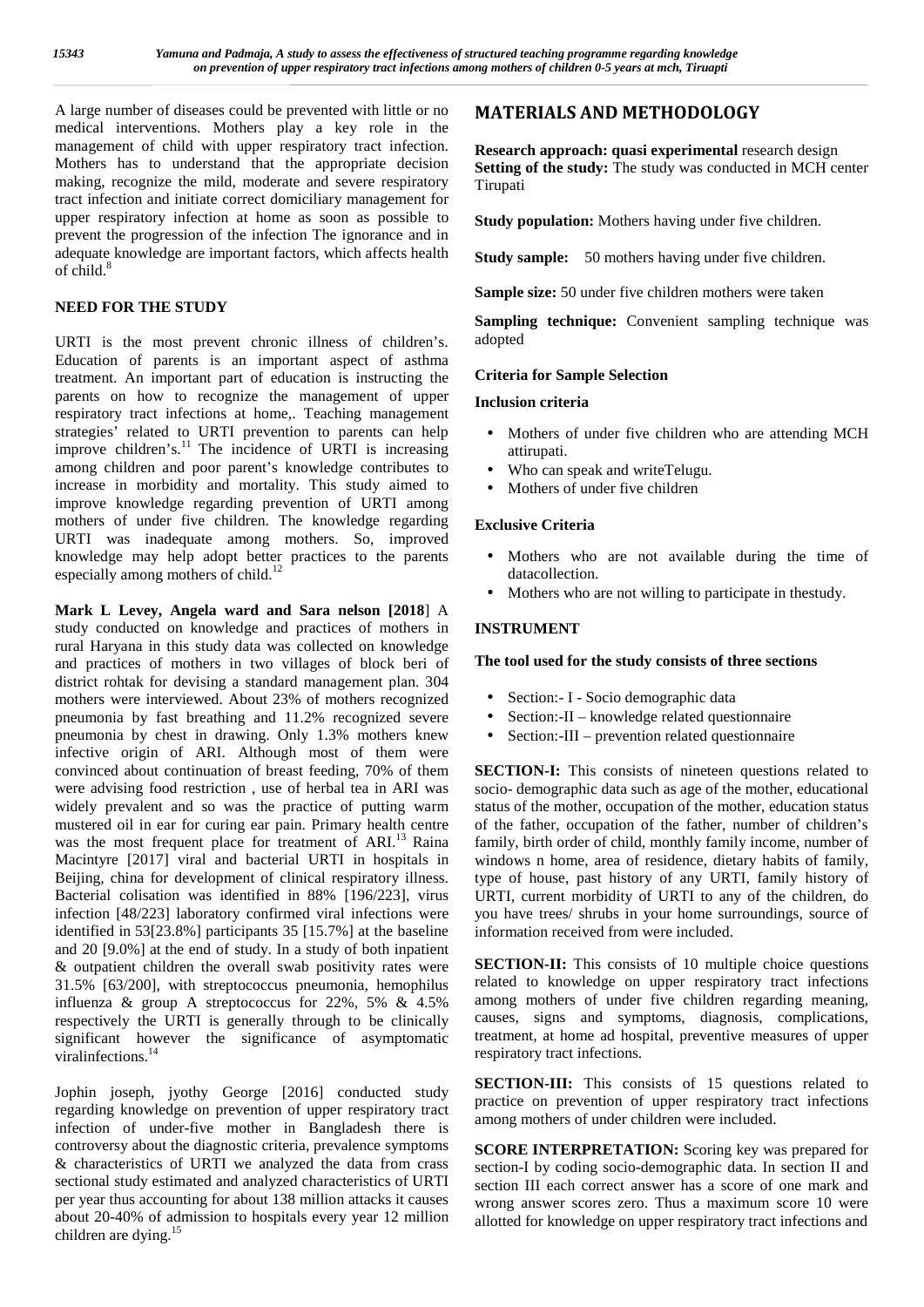A large number of diseases could be prevented with little or no medical interventions. Mothers play a key role in the management of child with upper respiratory tract infection. Mothers has to understand that the appropriate decision making, recognize the mild, moderate and severe respiratory tract infection and initiate correct domiciliary management for upper respiratory infection at home as soon as possible to prevent the progression of the infection The ignorance and in adequate knowledge are important factors, which affects health of child. $8$ 

## **NEED FOR THE STUDY**

URTI is the most prevent chronic illness of children's. Education of parents is an important aspect of asthma treatment. An important part of education is instructing the parents on how to recognize the management of upper respiratory tract infections at home,. Teaching management strategies' related to URTI prevention to parents can help improve children's.<sup>11</sup> The incidence of URTI is increasing among children and poor parent's knowledge contributes to increase in morbidity and mortality. This study aimed to improve knowledge regarding prevention of URTI among mothers of under five children. The knowledge regarding URTI was inadequate among mothers. So, improved knowledge may help adopt better practices to the parents especially among mothers of child.<sup>12</sup>

**Mark L Levey, Angela ward and Sara nelson [2018**] A study conducted on knowledge and practices of mothers in rural Haryana in this study data was collected on knowledge and practices of mothers in two villages of block beri of district rohtak for devising a standard management plan. 304 mothers were interviewed. About 23% of mothers recognized pneumonia by fast breathing and 11.2% recognized severe <br>pneumonia by chest in drawing. Only 1.3% mothers knew pneumonia by chest in drawing. Only 1.3% mothers knew infective origin of ARI. Although most of them were convinced about continuation of breast feeding, 70% of them were advising food restriction , use of herbal tea in ARI was widely prevalent and so was the practice of putting warm mustered oil in ear for curing ear pain. Primary health centre was the most frequent place for treatment of ARI.<sup>13</sup> Raina Macintyre [2017] viral and bacterial URTI in hospitals in Beijing, china for development of clinical respiratory illness. Bacterial colisation was identified in 88% [196/223], virus infection [48/223] laboratory confirmed viral infections were identified in 53[23.8%] participants 35 [15.7%] at the baseline and 20 [9.0%] at the end of study. In a study of both inpatient & outpatient children the overall swab positivity rates were 31.5% [63/200], with streptococcus pneumonia, hemophilus influenza & group A streptococcus for 22%, 5% & 4.5% respectively the URTI is generally through to be clinically significant however the significance of asymptomatic viralinfections.<sup>14</sup>

Jophin joseph, jyothy George [2016] conducted study regarding knowledge on prevention of upper respiratory tract infection of under-five mother in Bangladesh there is controversy about the diagnostic criteria, prevalence symptoms & characteristics of URTI we analyzed the data from crass sectional study estimated and analyzed characteristics of URTI per year thus accounting for about 138 million attacks it causes about 20-40% of admission to hospitals every year 12 million children are dying.<sup>15</sup>

## **MATERIALS AND METHODOLOGY**

**Research approach: quasi experimental** research design **Setting of the study:** The study was conducted in MCH center Tirupati

**Study population:** Mothers having under five children.

**Study sample:** 50 mothers having under five children.

**Sample size:** 50 under five children mothers were taken

**Sampling technique:** Convenient sampling technique was adopted

## **Criteria for Sample Selection**

### **Inclusion criteria**

- Mothers of under five children who are attending MCH attirupati.
- Who can speak and writeTelugu.
- Mothers of under five children

## **Exclusive Criteria**

- Mothers who are not available during the time of datacollection.
- Mothers who are not willing to participate in thestudy.

## **INSTRUMENT**

#### **The tool used for the study consists of three sections**

- Section:- I Socio demographic data
- Section:-II knowledge related questionnaire
- Section:-III prevention related questionnaire

**SECTION-I:** This consists of nineteen questions related to socio- demographic data such as age of the mother, educational status of the mother, occupation of the mother, education status of the father, occupation of the father, number of children's family, birth order of child, monthly family income, number of windows n home, area of residence, dietary habits of family, type of house, past history of any URTI, family history of URTI, current morbidity of URTI to any of the children, do you have trees/ shrubs in your home surroundings, source of information received from were included.

**SECTION-II:** This consists of 10 multiple choice questions related to knowledge on upper respiratory tract infections among mothers of under five children regarding meaning, causes, signs and symptoms, diagnosis, complications, treatment, at home ad hospital, preventive measures of upper respiratory tract infections.

**SECTION-III:** This consists of 15 questions related to practice on prevention of upper respiratory tract infections among mothers of under children were included.

**SCORE INTERPRETATION:** Scoring key was prepared for section-I by coding socio-demographic data. In section II and section III each correct answer has a score of one mark and wrong answer scores zero. Thus a maximum score 10 were allotted for knowledge on upper respiratory tract infections and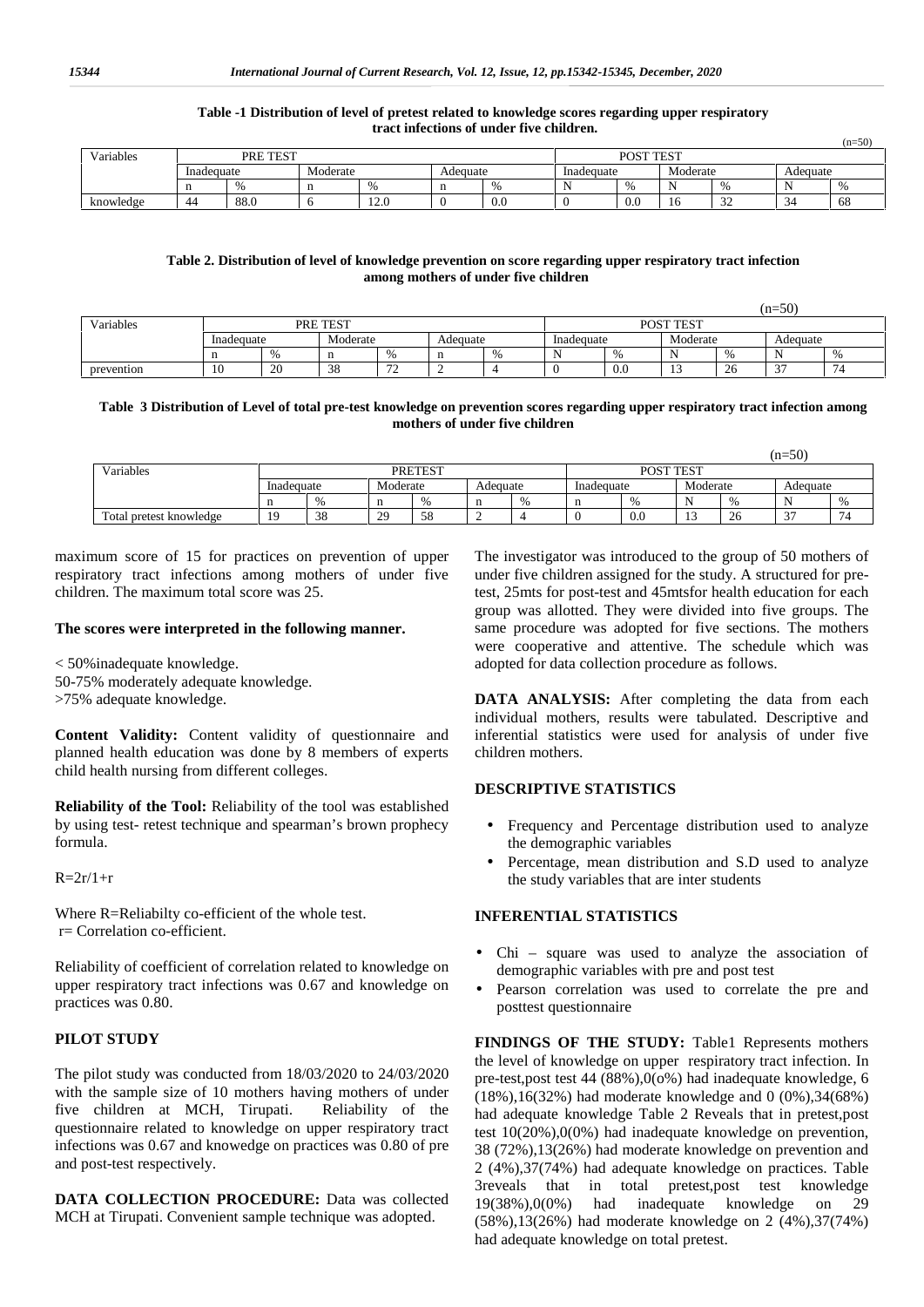#### **Table -1 Distribution of level of pretest related to knowledge scores regarding upper respiratory tract infections of under five children.**

| Variables | PRE TEST               |      |     |                   |          |                      | POST TEST  |     |          |             |          |    |  |
|-----------|------------------------|------|-----|-------------------|----------|----------------------|------------|-----|----------|-------------|----------|----|--|
|           | Moderate<br>Inadequate |      |     |                   | Adequate |                      | Inadequate |     | Moderate |             | Adequate |    |  |
|           |                        |      | -11 |                   |          | $\Omega$<br>.,<br>70 |            |     |          |             |          | Ω. |  |
| knowledge | 44                     | 88.0 | v   | $\sim$<br>$1 - U$ |          | 0.0                  |            | 0.0 | -1.      | $\sim$<br>- | - -      | 68 |  |

#### **Table 2. Distribution of level of knowledge prevention on score regarding upper respiratory tract infection among mothers of under five children**

|            |            |    |          |                      |   |      |            |     |          |              | $(n=50)$    |                |
|------------|------------|----|----------|----------------------|---|------|------------|-----|----------|--------------|-------------|----------------|
| Variables  |            |    | PRE TEST |                      |   |      | POST TEST  |     |          |              |             |                |
|            | Inadequate |    |          | Moderate<br>Adequate |   |      | Inadequate |     | Moderate |              | Adequate    |                |
|            |            | 0/ | n        | $\Omega$             | n | $\%$ | N          |     |          | $\mathbf{0}$ | . .<br>.    |                |
| prevention | 10         | 20 | 38       | $\sim$<br>. .        |   |      |            | 0.0 | . .      | 26           | $\sim$<br>Ć | $\overline{ }$ |

#### **Table 3 Distribution of Level of total pre-test knowledge on prevention scores regarding upper respiratory tract infection among mothers of under five children**

|                         | $(n=50)$   |     |           |                |          |           |            |              |          |     |                                    |               |
|-------------------------|------------|-----|-----------|----------------|----------|-----------|------------|--------------|----------|-----|------------------------------------|---------------|
| Variables               |            |     |           | <b>PRETEST</b> |          | POST TEST |            |              |          |     |                                    |               |
|                         | Inadequate |     | Moderate  |                | Adequate |           | Inadequate |              | Moderate |     | Adequate                           |               |
|                         | n          | 0/2 | $\%$<br>n |                |          |           |            | $\mathbf{O}$ |          | 0/2 |                                    | $\frac{0}{0}$ |
| Total pretest knowledge | 1 Q        | 38  | 29        | 58             |          |           |            | -0.0         | . .      | 26  | $\sim$<br>$\overline{\phantom{a}}$ | $\sim$<br>, , |

maximum score of 15 for practices on prevention of upper respiratory tract infections among mothers of under five children. The maximum total score was 25.

#### **The scores were interpreted in the following manner.**

< 50%inadequate knowledge. 50-75% moderately adequate knowledge. >75% adequate knowledge.

**Content Validity:** Content validity of questionnaire and planned health education was done by 8 members of experts child health nursing from different colleges.

**Reliability of the Tool:** Reliability of the tool was established by using test- retest technique and spearman's brown prophecy formula.

 $R = 2r/1+r$ 

Where R=Reliabilty co-efficient of the whole test. r= Correlation co-efficient.

Reliability of coefficient of correlation related to knowledge on upper respiratory tract infections was 0.67 and knowledge on  $\qquad$ practices was 0.80.

#### **PILOT STUDY**

The pilot study was conducted from 18/03/2020 to 24/03/2020 with the sample size of 10 mothers having mothers of under five children at MCH, Tirupati. Reliability of the questionnaire related to knowledge on upper respiratory tract infections was 0.67 and knowedge on practices was 0.80 of pre and post-test respectively.

**DATA COLLECTION PROCEDURE:** Data was collected 19(38%),0(0%) had MCH at Tirupati. Convenient sample technique was adopted.

The investigator was introduced to the group of 50 mothers of under five children assigned for the study. A structured for pretest, 25mts for post-test and 45mtsfor health education for each group was allotted. They were divided into five groups. The same procedure was adopted for five sections. The mothers were cooperative and attentive. The schedule which was adopted for data collection procedure as follows.

 $(n-50)$ 

**DATA ANALYSIS:** After completing the data from each individual mothers, results were tabulated. Descriptive and inferential statistics were used for analysis of under five children mothers.

### **DESCRIPTIVE STATISTICS**

- Frequency and Percentage distribution used to analyze the demographic variables
- Percentage, mean distribution and S.D used to analyze the study variables that are inter students

### **INFERENTIAL STATISTICS**

- Chi square was used to analyze the association of demographic variables with pre and post test
- Pearson correlation was used to correlate the pre and posttest questionnaire

**FINDINGS OF THE STUDY:** Table1 Represents mothers the level of knowledge on upper respiratory tract infection. In pre-test,post test 44 (88%),0(o%) had inadequate knowledge, 6 (18%),16(32%) had moderate knowledge and 0 (0%),34(68%) had adequate knowledge Table 2 Reveals that in pretest,post test 10(20%),0(0%) had inadequate knowledge on prevention, 38 (72%),13(26%) had moderate knowledge on prevention and 2 (4%),37(74%) had adequate knowledge on practices. Table 3reveals that in total pretest,post test knowledge inadequate knowledge on 29 (58%),13(26%) had moderate knowledge on 2 (4%),37(74%) had adequate knowledge on total pretest.